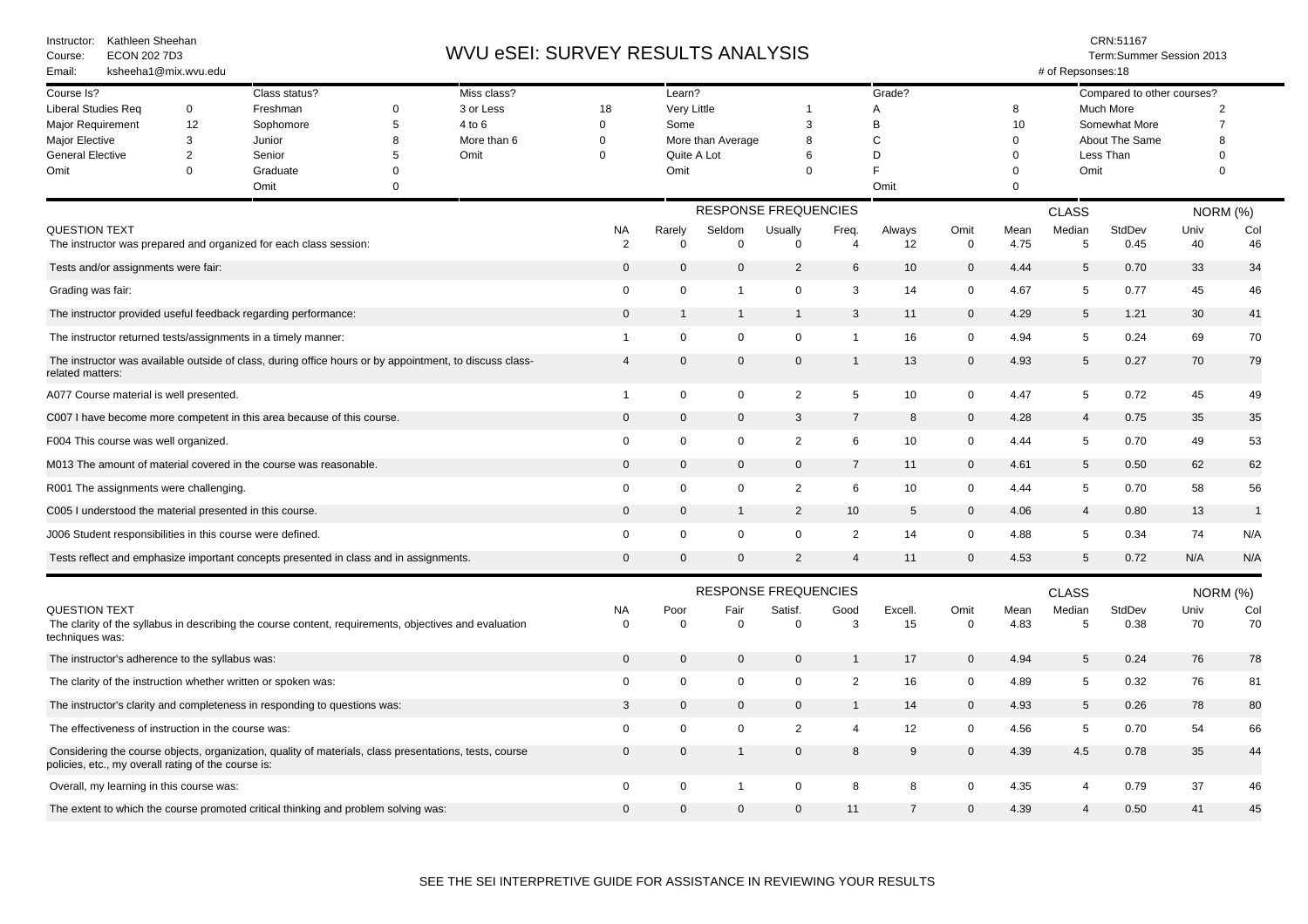| Kathleen Sheehan<br>Instructor:<br><b>ECON 202 7D3</b><br>Course:<br>ksheeha1@mix.wvu.edu<br>Email:                                                           |                     |                                                                                                       |             |                     | WVU eSEI: SURVEY RESULTS ANALYSIS |                                  |                       |                             |                         |                 |                     | CRN:51167<br>Term:Summer Session 2013<br># of Repsonses:18 |                             |                            |                                  |           |  |
|---------------------------------------------------------------------------------------------------------------------------------------------------------------|---------------------|-------------------------------------------------------------------------------------------------------|-------------|---------------------|-----------------------------------|----------------------------------|-----------------------|-----------------------------|-------------------------|-----------------|---------------------|------------------------------------------------------------|-----------------------------|----------------------------|----------------------------------|-----------|--|
| Course Is?                                                                                                                                                    |                     | Class status?                                                                                         |             | Miss class?         |                                   | Learn?                           |                       |                             |                         | Grade?          |                     |                                                            |                             | Compared to other courses? |                                  |           |  |
| <b>Liberal Studies Req</b><br>0<br>12<br>Major Requirement                                                                                                    |                     | Freshman                                                                                              | 0<br>5      | 3 or Less<br>4 to 6 | 18<br>$\mathbf 0$                 | Very Little<br>Some              |                       | 1                           |                         | Α               |                     | 8                                                          | Much More<br>Somewhat More  |                            | $\overline{2}$<br>$\overline{7}$ |           |  |
|                                                                                                                                                               |                     | Sophomore                                                                                             |             |                     |                                   |                                  |                       | 3                           | B                       |                 |                     | 10                                                         |                             |                            |                                  |           |  |
| Major Elective                                                                                                                                                | 3<br>$\overline{2}$ | Junior<br>Senior                                                                                      | 8<br>5      | More than 6<br>Omit | $\Omega$<br>$\Omega$              | More than Average<br>Quite A Lot |                       | 8                           | C                       |                 |                     | $\Omega$                                                   | About The Same<br>Less Than |                            | 8<br>$\Omega$                    |           |  |
| <b>General Elective</b>                                                                                                                                       |                     |                                                                                                       |             |                     |                                   |                                  |                       | 6                           |                         | D               |                     | $\Omega$                                                   |                             |                            |                                  |           |  |
| Omit                                                                                                                                                          | $\Omega$            | Graduate                                                                                              | $\Omega$    |                     |                                   | Omit                             |                       | $\Omega$                    |                         |                 |                     | $\Omega$                                                   | Omit                        |                            | $\Omega$                         |           |  |
|                                                                                                                                                               |                     | Omit                                                                                                  | $\mathbf 0$ |                     |                                   |                                  |                       |                             |                         | Omit            |                     | $\Omega$                                                   |                             |                            |                                  |           |  |
|                                                                                                                                                               |                     |                                                                                                       |             |                     |                                   | <b>RESPONSE FREQUENCIES</b>      |                       |                             |                         |                 |                     | <b>CLASS</b>                                               |                             |                            |                                  | NORM (%)  |  |
| QUESTION TEXT                                                                                                                                                 |                     | The instructor was prepared and organized for each class session:                                     |             |                     | ΝA<br>$\overline{2}$              | Rarely<br>$\Omega$               | Seldom<br>$\mathbf 0$ | Usually<br>$\mathbf 0$      | Freq.<br>$\overline{4}$ | Always<br>12    | Omit<br>$\mathbf 0$ | Mean<br>4.75                                               | Median<br>5                 | StdDev<br>0.45             | Univ<br>40                       | Col<br>46 |  |
| Tests and/or assignments were fair:                                                                                                                           |                     |                                                                                                       |             |                     |                                   | $\mathbf 0$                      | $\mathbf 0$           | $\overline{2}$              | 6                       | 10              | $\mathbf 0$         | 4.44                                                       | 5                           | 0.70                       | 33                               | 34        |  |
| Grading was fair:                                                                                                                                             |                     |                                                                                                       |             |                     | 0                                 | $\mathbf 0$                      | -1                    | $\mathbf 0$                 | 3                       | 14              | 0                   | 4.67                                                       | 5                           | 0.77                       | 45                               | 46        |  |
| The instructor provided useful feedback regarding performance:                                                                                                |                     |                                                                                                       |             |                     |                                   | $\overline{1}$                   | -1                    | $\mathbf{1}$                | 3                       | 11              | $\mathbf 0$         | 4.29                                                       | 5                           | 1.21                       | 30                               | 41        |  |
| The instructor returned tests/assignments in a timely manner:                                                                                                 |                     |                                                                                                       |             |                     | 1                                 | $\mathbf 0$                      | $\mathbf 0$           | 0                           | $\overline{1}$          | 16              | $\mathbf 0$         | 4.94                                                       | 5                           | 0.24                       | 69                               | 70        |  |
| The instructor was available outside of class, during office hours or by appointment, to discuss class-<br>related matters:                                   |                     |                                                                                                       |             |                     | $\overline{4}$                    | $\mathbf 0$                      | $\mathbf 0$           | $\mathbf 0$                 | $\mathbf{1}$            | 13              | $\mathbf 0$         | 4.93                                                       | 5                           | 0.27                       | 70                               | 79        |  |
| A077 Course material is well presented.                                                                                                                       |                     |                                                                                                       |             |                     | $\mathbf{1}$                      | $\mathbf 0$                      | $\mathbf 0$           | $\overline{2}$              | 5                       | 10              | $\mathbf 0$         | 4.47                                                       | $5\phantom{.0}$             | 0.72                       | 45                               | 49        |  |
| C007 I have become more competent in this area because of this course.                                                                                        |                     |                                                                                                       |             |                     | $\Omega$                          | $\mathbf 0$                      | $\mathbf{0}$          | 3                           | 7                       | 8               | $\overline{0}$      | 4.28                                                       | $\overline{4}$              | 0.75                       | 35                               | 35        |  |
| F004 This course was well organized.                                                                                                                          |                     |                                                                                                       |             |                     | $\mathbf 0$                       | $\mathbf 0$                      | $\mathbf 0$           | $\overline{2}$              | 6                       | 10              | $\mathbf 0$         | 4.44                                                       | 5                           | 0.70                       | 49                               | 53        |  |
| M013 The amount of material covered in the course was reasonable.                                                                                             |                     |                                                                                                       |             |                     | 0                                 | $\mathbf 0$                      | $\mathbf 0$           | $\mathbf 0$                 | $\overline{7}$          | 11              | $\mathbf 0$         | 4.61                                                       | 5                           | 0.50                       | 62                               | 62        |  |
| R001 The assignments were challenging.                                                                                                                        |                     |                                                                                                       |             |                     | 0                                 | $\mathbf 0$                      | $\mathbf 0$           | $\overline{2}$              | 6                       | 10 <sup>°</sup> | $\mathbf 0$         | 4.44                                                       | 5                           | 0.70                       | 58                               | 56        |  |
| C005 I understood the material presented in this course.                                                                                                      |                     |                                                                                                       |             |                     | $\mathbf 0$                       | $\mathbf 0$                      | $\mathbf{1}$          | $\overline{2}$              | 10                      | 5               | $\mathbf 0$         | 4.06                                                       | $\overline{4}$              | 0.80                       | 13                               | -1        |  |
| J006 Student responsibilities in this course were defined.                                                                                                    |                     |                                                                                                       |             |                     | 0                                 | $\mathbf 0$                      | $\mathbf 0$           | $\mathbf 0$                 | $\overline{2}$          | 14              | $\Omega$            | 4.88                                                       | 5                           | 0.34                       | 74                               | N/A       |  |
|                                                                                                                                                               |                     | Tests reflect and emphasize important concepts presented in class and in assignments.                 |             |                     | $\mathbf{0}$                      | $\mathbf 0$                      | $\Omega$              | $\overline{2}$              | $\overline{4}$          | 11              | $\mathbf 0$         | 4.53                                                       | 5                           | 0.72                       | N/A                              | N/A       |  |
|                                                                                                                                                               |                     |                                                                                                       |             |                     |                                   |                                  |                       | <b>RESPONSE FREQUENCIES</b> |                         |                 |                     |                                                            | <b>CLASS</b>                |                            | <b>NORM (%)</b>                  |           |  |
| QUESTION TEXT<br>techniques was:                                                                                                                              |                     | The clarity of the syllabus in describing the course content, requirements, objectives and evaluation |             |                     | <b>NA</b><br>0                    | Poor<br>$\Omega$                 | Fair<br>$\mathbf 0$   | Satisf.<br>$\mathbf 0$      | Good<br>3               | Excell.<br>15   | Omit<br>$\mathbf 0$ | Mean<br>4.83                                               | Median<br>5                 | StdDev<br>0.38             | Univ<br>70                       | Col<br>70 |  |
| The instructor's adherence to the syllabus was:                                                                                                               |                     |                                                                                                       |             | $\mathbf{0}$        | $\mathbf 0$                       | $\mathbf 0$                      | $\mathbf 0$           | $\mathbf{1}$                | 17                      | $\mathbf 0$     | 4.94                | 5                                                          | 0.24                        | 76                         | 78                               |           |  |
| The clarity of the instruction whether written or spoken was:                                                                                                 |                     |                                                                                                       |             |                     | $\Omega$                          | $\mathbf 0$                      | $\mathbf 0$           | $\mathbf 0$                 | $\overline{2}$          | 16              | 0                   | 4.89                                                       | 5                           | 0.32                       | 76                               | 81        |  |
| The instructor's clarity and completeness in responding to questions was:                                                                                     |                     |                                                                                                       |             |                     | 3                                 | $\mathbf 0$                      | $\Omega$              | $\mathbf{0}$                | $\mathbf 1$             | 14              | $\overline{0}$      | 4.93                                                       | 5                           | 0.26                       | 78                               | 80        |  |
| The effectiveness of instruction in the course was:                                                                                                           |                     |                                                                                                       |             |                     | $\mathbf 0$                       | $\mathbf 0$                      | $\mathbf 0$           | $\overline{2}$              | $\overline{4}$          | 12              | $\mathbf 0$         | 4.56                                                       | 5                           | 0.70                       | 54                               | 66        |  |
| Considering the course objects, organization, quality of materials, class presentations, tests, course<br>policies, etc., my overall rating of the course is: |                     |                                                                                                       |             |                     | $\mathbf 0$                       | $\mathbf 0$                      | $\mathbf{1}$          | $\mathbf 0$                 | 8                       | 9               | $\mathbf 0$         | 4.39                                                       | 4.5                         | 0.78                       | 35                               | 44        |  |
| Overall, my learning in this course was:                                                                                                                      |                     |                                                                                                       |             |                     | $\mathbf 0$                       | $\mathbf 0$                      | $\mathbf 1$           | $\mathbf 0$                 | 8                       | 8               | $\mathbf 0$         | 4.35                                                       | $\overline{4}$              | 0.79                       | 37                               | 46        |  |
| The extent to which the course promoted critical thinking and problem solving was:                                                                            |                     |                                                                                                       |             |                     |                                   | $\mathbf{0}$                     | $\Omega$              | $\Omega$                    | 11                      | $\overline{7}$  | $\Omega$            | 4.39                                                       | $\overline{4}$              | 0.50                       | 41                               | 45        |  |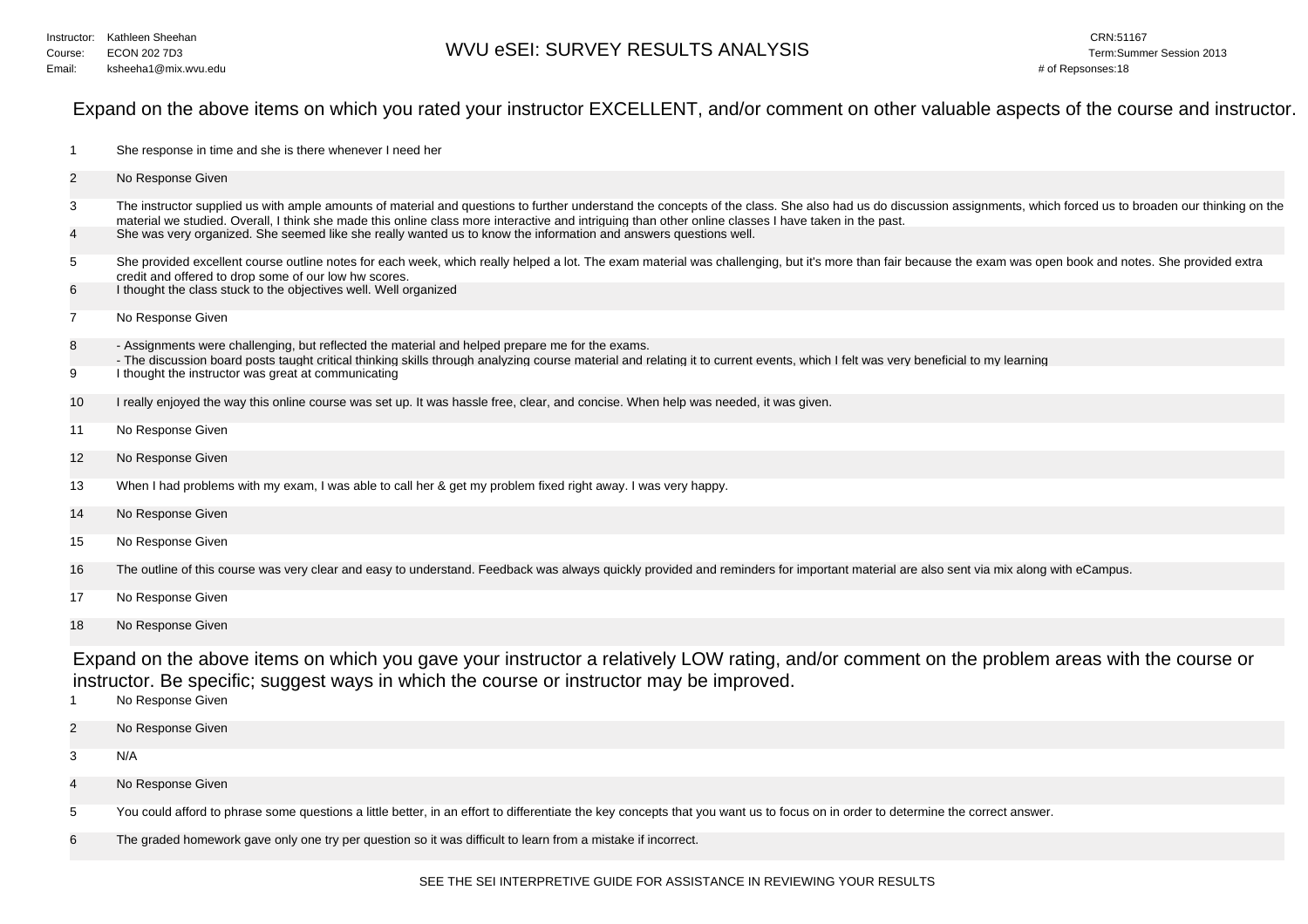## Expand on the above items on which you rated your instructor EXCELLENT, and/or comment on other valuable aspects of the course and instructor.

| -1             | She response in time and she is there whenever I need her                                                                                                                                                                                                                                                                                                                                                                                                                                      |  |  |  |  |  |
|----------------|------------------------------------------------------------------------------------------------------------------------------------------------------------------------------------------------------------------------------------------------------------------------------------------------------------------------------------------------------------------------------------------------------------------------------------------------------------------------------------------------|--|--|--|--|--|
| $\overline{c}$ | No Response Given                                                                                                                                                                                                                                                                                                                                                                                                                                                                              |  |  |  |  |  |
| 3              | The instructor supplied us with ample amounts of material and questions to further understand the concepts of the class. She also had us do discussion assignments, which forced us to broaden our thinking on the<br>material we studied. Overall, I think she made this online class more interactive and intriguing than other online classes I have taken in the past.<br>She was very organized. She seemed like she really wanted us to know the information and answers questions well. |  |  |  |  |  |
| 4              |                                                                                                                                                                                                                                                                                                                                                                                                                                                                                                |  |  |  |  |  |
| 5              | She provided excellent course outline notes for each week, which really helped a lot. The exam material was challenging, but it's more than fair because the exam was open book and notes. She provided extra<br>credit and offered to drop some of our low hw scores.                                                                                                                                                                                                                         |  |  |  |  |  |
| 6              | I thought the class stuck to the objectives well. Well organized                                                                                                                                                                                                                                                                                                                                                                                                                               |  |  |  |  |  |
| 7              | No Response Given                                                                                                                                                                                                                                                                                                                                                                                                                                                                              |  |  |  |  |  |
| 8              | - Assignments were challenging, but reflected the material and helped prepare me for the exams.<br>- The discussion board posts taught critical thinking skills through analyzing course material and relating it to current events, which I felt was very beneficial to my learning                                                                                                                                                                                                           |  |  |  |  |  |
| 9              | I thought the instructor was great at communicating                                                                                                                                                                                                                                                                                                                                                                                                                                            |  |  |  |  |  |
| 10             | I really enjoyed the way this online course was set up. It was hassle free, clear, and concise. When help was needed, it was given.                                                                                                                                                                                                                                                                                                                                                            |  |  |  |  |  |
| 11             | No Response Given                                                                                                                                                                                                                                                                                                                                                                                                                                                                              |  |  |  |  |  |
| 12             | No Response Given                                                                                                                                                                                                                                                                                                                                                                                                                                                                              |  |  |  |  |  |
| 13             | When I had problems with my exam, I was able to call her & get my problem fixed right away. I was very happy.                                                                                                                                                                                                                                                                                                                                                                                  |  |  |  |  |  |
| 14             | No Response Given                                                                                                                                                                                                                                                                                                                                                                                                                                                                              |  |  |  |  |  |
| 15             | No Response Given                                                                                                                                                                                                                                                                                                                                                                                                                                                                              |  |  |  |  |  |
| 16             | The outline of this course was very clear and easy to understand. Feedback was always quickly provided and reminders for important material are also sent via mix along with eCampus.                                                                                                                                                                                                                                                                                                          |  |  |  |  |  |
| 17             | No Response Given                                                                                                                                                                                                                                                                                                                                                                                                                                                                              |  |  |  |  |  |
| 18             | No Response Given                                                                                                                                                                                                                                                                                                                                                                                                                                                                              |  |  |  |  |  |
|                | Expand on the above items on which you gave your instructor a relatively LOW rating, and/or comment on the problem areas with the course or<br>instructor. Be specific; suggest ways in which the course or instructor may be improved.                                                                                                                                                                                                                                                        |  |  |  |  |  |

- 1No Response Given
- 2No Response Given
- 3N/A
- 4No Response Given
- 5You could afford to phrase some questions a little better, in an effort to differentiate the key concepts that you want us to focus on in order to determine the correct answer.
- 6The graded homework gave only one try per question so it was difficult to learn from a mistake if incorrect.